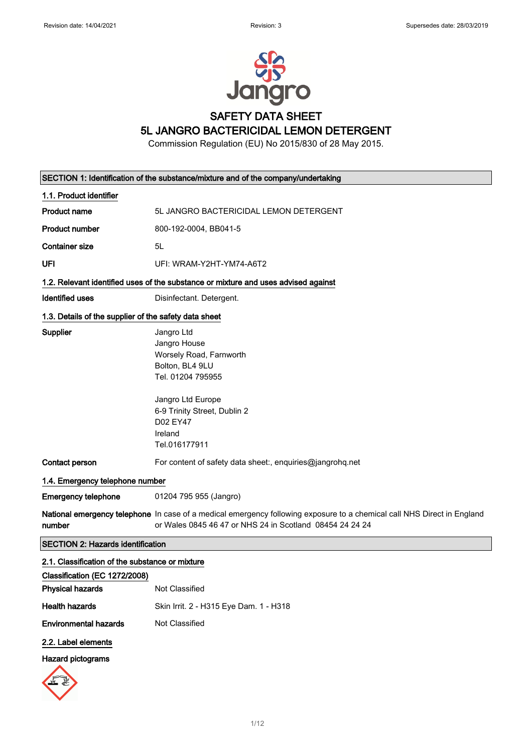

# SAFETY DATA SHEET

5L JANGRO BACTERICIDAL LEMON DETERGENT

Commission Regulation (EU) No 2015/830 of 28 May 2015.

|                                                       | SECTION 1: Identification of the substance/mixture and of the company/undertaking                                                                                                   |  |  |
|-------------------------------------------------------|-------------------------------------------------------------------------------------------------------------------------------------------------------------------------------------|--|--|
| 1.1. Product identifier                               |                                                                                                                                                                                     |  |  |
| <b>Product name</b>                                   | 5L JANGRO BACTERICIDAL LEMON DETERGENT                                                                                                                                              |  |  |
| <b>Product number</b>                                 | 800-192-0004, BB041-5                                                                                                                                                               |  |  |
| <b>Container size</b>                                 | 5L                                                                                                                                                                                  |  |  |
| UFI                                                   | UFI: WRAM-Y2HT-YM74-A6T2                                                                                                                                                            |  |  |
|                                                       | 1.2. Relevant identified uses of the substance or mixture and uses advised against                                                                                                  |  |  |
| Identified uses                                       | Disinfectant. Detergent.                                                                                                                                                            |  |  |
| 1.3. Details of the supplier of the safety data sheet |                                                                                                                                                                                     |  |  |
| Supplier                                              | Jangro Ltd<br>Jangro House<br>Worsely Road, Farnworth<br>Bolton, BL4 9LU<br>Tel. 01204 795955                                                                                       |  |  |
|                                                       | Jangro Ltd Europe<br>6-9 Trinity Street, Dublin 2<br>D02 EY47<br>Ireland<br>Tel.016177911                                                                                           |  |  |
| Contact person                                        | For content of safety data sheet:, enquiries@jangrohq.net                                                                                                                           |  |  |
| 1.4. Emergency telephone number                       |                                                                                                                                                                                     |  |  |
| <b>Emergency telephone</b>                            | 01204 795 955 (Jangro)                                                                                                                                                              |  |  |
| number                                                | National emergency telephone In case of a medical emergency following exposure to a chemical call NHS Direct in England<br>or Wales 0845 46 47 or NHS 24 in Scotland 08454 24 24 24 |  |  |
| <b>SECTION 2: Hazards identification</b>              |                                                                                                                                                                                     |  |  |
| 2.1. Classification of the substance or mixture       |                                                                                                                                                                                     |  |  |
| Classification (EC 1272/2008)                         |                                                                                                                                                                                     |  |  |
| <b>Physical hazards</b>                               | <b>Not Classified</b>                                                                                                                                                               |  |  |
| <b>Health hazards</b>                                 | Skin Irrit. 2 - H315 Eye Dam. 1 - H318                                                                                                                                              |  |  |

Environmental hazards Not Classified

### 2.2. Label elements

### Hazard pictograms

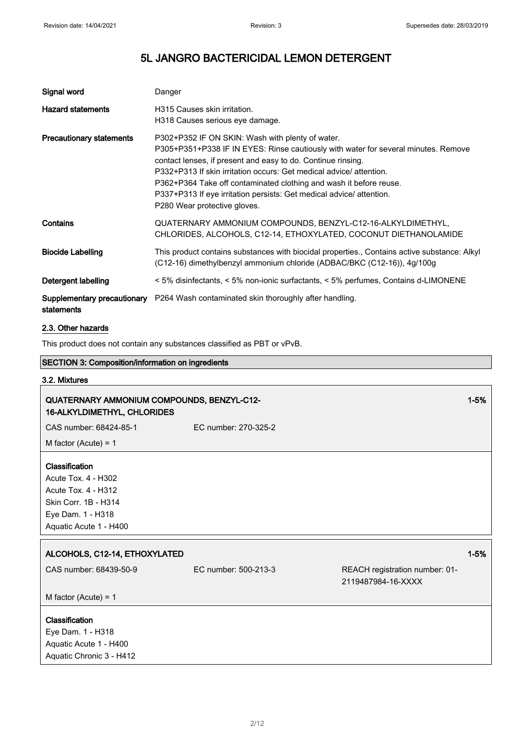| Signal word                     | Danger                                                                                                                                                                                                                                                                                                                                                                                                                                                     |
|---------------------------------|------------------------------------------------------------------------------------------------------------------------------------------------------------------------------------------------------------------------------------------------------------------------------------------------------------------------------------------------------------------------------------------------------------------------------------------------------------|
| <b>Hazard statements</b>        | H315 Causes skin irritation.<br>H318 Causes serious eye damage.                                                                                                                                                                                                                                                                                                                                                                                            |
| <b>Precautionary statements</b> | P302+P352 IF ON SKIN: Wash with plenty of water.<br>P305+P351+P338 IF IN EYES: Rinse cautiously with water for several minutes. Remove<br>contact lenses, if present and easy to do. Continue rinsing.<br>P332+P313 If skin irritation occurs: Get medical advice/attention.<br>P362+P364 Take off contaminated clothing and wash it before reuse.<br>P337+P313 If eye irritation persists: Get medical advice/ attention.<br>P280 Wear protective gloves. |
| Contains                        | QUATERNARY AMMONIUM COMPOUNDS, BENZYL-C12-16-ALKYLDIMETHYL,<br>CHLORIDES, ALCOHOLS, C12-14, ETHOXYLATED, COCONUT DIETHANOLAMIDE                                                                                                                                                                                                                                                                                                                            |
| <b>Biocide Labelling</b>        | This product contains substances with biocidal properties., Contains active substance: Alkyl<br>(C12-16) dimethylbenzyl ammonium chloride (ADBAC/BKC (C12-16)), 4g/100g                                                                                                                                                                                                                                                                                    |
| Detergent labelling             | < 5% disinfectants, < 5% non-ionic surfactants, < 5% perfumes, Contains d-LIMONENE                                                                                                                                                                                                                                                                                                                                                                         |
| statements                      | <b>Supplementary precautionary</b> P264 Wash contaminated skin thoroughly after handling.                                                                                                                                                                                                                                                                                                                                                                  |

### 2.3. Other hazards

This product does not contain any substances classified as PBT or vPvB.

# SECTION 3: Composition/information on ingredients

# 3.2. Mixtures QUATERNARY AMMONIUM COMPOUNDS, BENZYL-C12- 16-ALKYLDIMETHYL, CHLORIDES 1-5% CAS number: 68424-85-1 EC number: 270-325-2 M factor (Acute) = 1 Classification Acute Tox. 4 - H302 Acute Tox. 4 - H312 Skin Corr. 1B - H314 Eye Dam. 1 - H318 Aquatic Acute 1 - H400 ALCOHOLS, C12-14, ETHOXYLATED 120 AND 120 AND 120 AND 120 AND 130 AND 130 AND 130 AND 130 AND 130 AND 130 AND CAS number: 68439-50-9 EC number: 500-213-3 REACH registration number: 01- 2119487984-16-XXXX M factor (Acute) = 1 Classification Eye Dam. 1 - H318 Aquatic Acute 1 - H400 Aquatic Chronic 3 - H412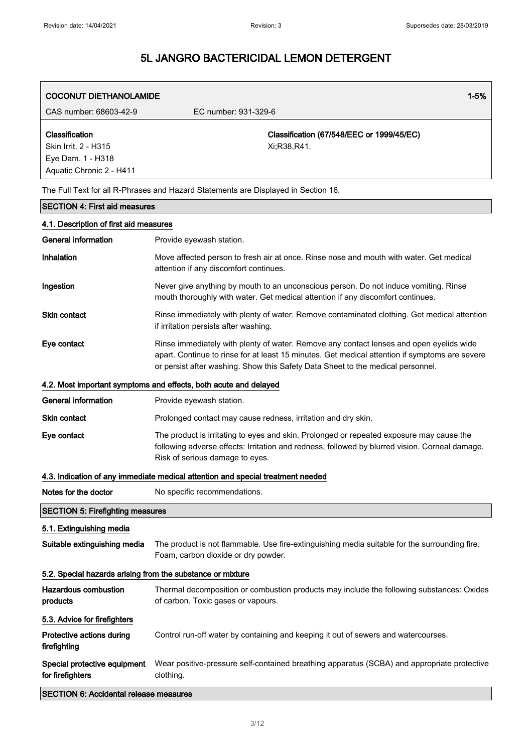| <b>COCONUT DIETHANOLAMIDE</b>                                                           | $1 - 5%$                                                                                                                                                                                                                                                                     |  |
|-----------------------------------------------------------------------------------------|------------------------------------------------------------------------------------------------------------------------------------------------------------------------------------------------------------------------------------------------------------------------------|--|
| CAS number: 68603-42-9                                                                  | EC number: 931-329-6                                                                                                                                                                                                                                                         |  |
| Classification<br>Skin Irrit. 2 - H315<br>Eye Dam. 1 - H318<br>Aquatic Chronic 2 - H411 | Classification (67/548/EEC or 1999/45/EC)<br>Xi;R38,R41.                                                                                                                                                                                                                     |  |
|                                                                                         | The Full Text for all R-Phrases and Hazard Statements are Displayed in Section 16.                                                                                                                                                                                           |  |
| <b>SECTION 4: First aid measures</b>                                                    |                                                                                                                                                                                                                                                                              |  |
| 4.1. Description of first aid measures                                                  |                                                                                                                                                                                                                                                                              |  |
| <b>General information</b>                                                              | Provide eyewash station.                                                                                                                                                                                                                                                     |  |
| Inhalation                                                                              | Move affected person to fresh air at once. Rinse nose and mouth with water. Get medical<br>attention if any discomfort continues.                                                                                                                                            |  |
| Ingestion                                                                               | Never give anything by mouth to an unconscious person. Do not induce vomiting. Rinse<br>mouth thoroughly with water. Get medical attention if any discomfort continues.                                                                                                      |  |
| <b>Skin contact</b>                                                                     | Rinse immediately with plenty of water. Remove contaminated clothing. Get medical attention<br>if irritation persists after washing.                                                                                                                                         |  |
| Eye contact                                                                             | Rinse immediately with plenty of water. Remove any contact lenses and open eyelids wide<br>apart. Continue to rinse for at least 15 minutes. Get medical attention if symptoms are severe<br>or persist after washing. Show this Safety Data Sheet to the medical personnel. |  |
|                                                                                         | 4.2. Most important symptoms and effects, both acute and delayed                                                                                                                                                                                                             |  |
| <b>General information</b>                                                              | Provide eyewash station.                                                                                                                                                                                                                                                     |  |
| Skin contact                                                                            | Prolonged contact may cause redness, irritation and dry skin.                                                                                                                                                                                                                |  |
| Eye contact                                                                             | The product is irritating to eyes and skin. Prolonged or repeated exposure may cause the<br>following adverse effects: Irritation and redness, followed by blurred vision. Corneal damage.<br>Risk of serious damage to eyes.                                                |  |
|                                                                                         | 4.3. Indication of any immediate medical attention and special treatment needed                                                                                                                                                                                              |  |
| Notes for the doctor                                                                    | No specific recommendations.                                                                                                                                                                                                                                                 |  |
| <b>SECTION 5: Firefighting measures</b>                                                 |                                                                                                                                                                                                                                                                              |  |
| 5.1. Extinguishing media                                                                |                                                                                                                                                                                                                                                                              |  |
| Suitable extinguishing media                                                            | The product is not flammable. Use fire-extinguishing media suitable for the surrounding fire.<br>Foam, carbon dioxide or dry powder.                                                                                                                                         |  |
| 5.2. Special hazards arising from the substance or mixture                              |                                                                                                                                                                                                                                                                              |  |
| <b>Hazardous combustion</b><br>products                                                 | Thermal decomposition or combustion products may include the following substances: Oxides<br>of carbon. Toxic gases or vapours.                                                                                                                                              |  |
| 5.3. Advice for firefighters                                                            |                                                                                                                                                                                                                                                                              |  |
| Protective actions during<br>firefighting                                               | Control run-off water by containing and keeping it out of sewers and watercourses.                                                                                                                                                                                           |  |
| Special protective equipment<br>for firefighters                                        | Wear positive-pressure self-contained breathing apparatus (SCBA) and appropriate protective<br>clothing.                                                                                                                                                                     |  |
| <b>SECTION 6: Accidental release measures</b>                                           |                                                                                                                                                                                                                                                                              |  |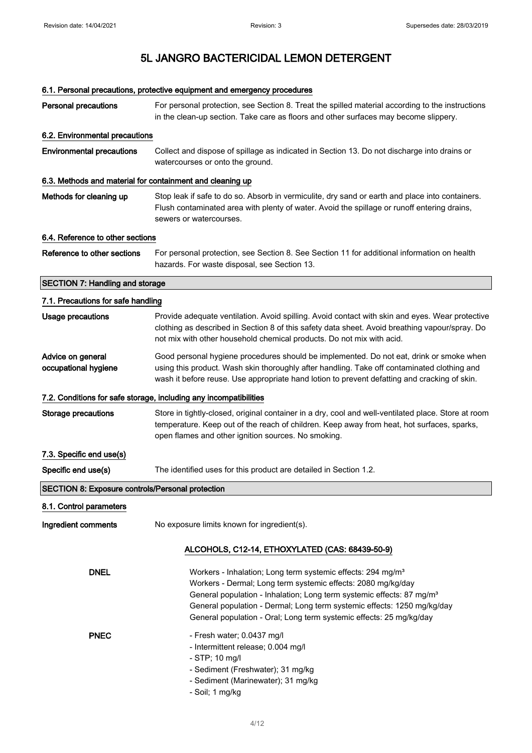|                                                           | 6.1. Personal precautions, protective equipment and emergency procedures                                                                                                                                                                                                                                                                                                       |
|-----------------------------------------------------------|--------------------------------------------------------------------------------------------------------------------------------------------------------------------------------------------------------------------------------------------------------------------------------------------------------------------------------------------------------------------------------|
| <b>Personal precautions</b>                               | For personal protection, see Section 8. Treat the spilled material according to the instructions<br>in the clean-up section. Take care as floors and other surfaces may become slippery.                                                                                                                                                                                       |
| 6.2. Environmental precautions                            |                                                                                                                                                                                                                                                                                                                                                                                |
| <b>Environmental precautions</b>                          | Collect and dispose of spillage as indicated in Section 13. Do not discharge into drains or<br>watercourses or onto the ground.                                                                                                                                                                                                                                                |
| 6.3. Methods and material for containment and cleaning up |                                                                                                                                                                                                                                                                                                                                                                                |
| Methods for cleaning up                                   | Stop leak if safe to do so. Absorb in vermiculite, dry sand or earth and place into containers.<br>Flush contaminated area with plenty of water. Avoid the spillage or runoff entering drains,<br>sewers or watercourses.                                                                                                                                                      |
| 6.4. Reference to other sections                          |                                                                                                                                                                                                                                                                                                                                                                                |
| Reference to other sections                               | For personal protection, see Section 8. See Section 11 for additional information on health<br>hazards. For waste disposal, see Section 13.                                                                                                                                                                                                                                    |
| <b>SECTION 7: Handling and storage</b>                    |                                                                                                                                                                                                                                                                                                                                                                                |
| 7.1. Precautions for safe handling                        |                                                                                                                                                                                                                                                                                                                                                                                |
| <b>Usage precautions</b>                                  | Provide adequate ventilation. Avoid spilling. Avoid contact with skin and eyes. Wear protective<br>clothing as described in Section 8 of this safety data sheet. Avoid breathing vapour/spray. Do<br>not mix with other household chemical products. Do not mix with acid.                                                                                                     |
| Advice on general<br>occupational hygiene                 | Good personal hygiene procedures should be implemented. Do not eat, drink or smoke when<br>using this product. Wash skin thoroughly after handling. Take off contaminated clothing and<br>wash it before reuse. Use appropriate hand lotion to prevent defatting and cracking of skin.                                                                                         |
|                                                           | 7.2. Conditions for safe storage, including any incompatibilities                                                                                                                                                                                                                                                                                                              |
| <b>Storage precautions</b>                                | Store in tightly-closed, original container in a dry, cool and well-ventilated place. Store at room<br>temperature. Keep out of the reach of children. Keep away from heat, hot surfaces, sparks,<br>open flames and other ignition sources. No smoking.                                                                                                                       |
| 7.3. Specific end use(s)                                  |                                                                                                                                                                                                                                                                                                                                                                                |
| Specific end use(s)                                       | The identified uses for this product are detailed in Section 1.2.                                                                                                                                                                                                                                                                                                              |
| <b>SECTION 8: Exposure controls/Personal protection</b>   |                                                                                                                                                                                                                                                                                                                                                                                |
| 8.1. Control parameters                                   |                                                                                                                                                                                                                                                                                                                                                                                |
| Ingredient comments                                       | No exposure limits known for ingredient(s).                                                                                                                                                                                                                                                                                                                                    |
|                                                           | ALCOHOLS, C12-14, ETHOXYLATED (CAS: 68439-50-9)                                                                                                                                                                                                                                                                                                                                |
| <b>DNEL</b>                                               | Workers - Inhalation; Long term systemic effects: 294 mg/m <sup>3</sup><br>Workers - Dermal; Long term systemic effects: 2080 mg/kg/day<br>General population - Inhalation; Long term systemic effects: 87 mg/m <sup>3</sup><br>General population - Dermal; Long term systemic effects: 1250 mg/kg/day<br>General population - Oral; Long term systemic effects: 25 mg/kg/day |
| <b>PNEC</b>                                               | - Fresh water; 0.0437 mg/l<br>- Intermittent release; 0.004 mg/l<br>- STP; 10 mg/l<br>- Sediment (Freshwater); 31 mg/kg<br>- Sediment (Marinewater); 31 mg/kg<br>- Soil; 1 mg/kg                                                                                                                                                                                               |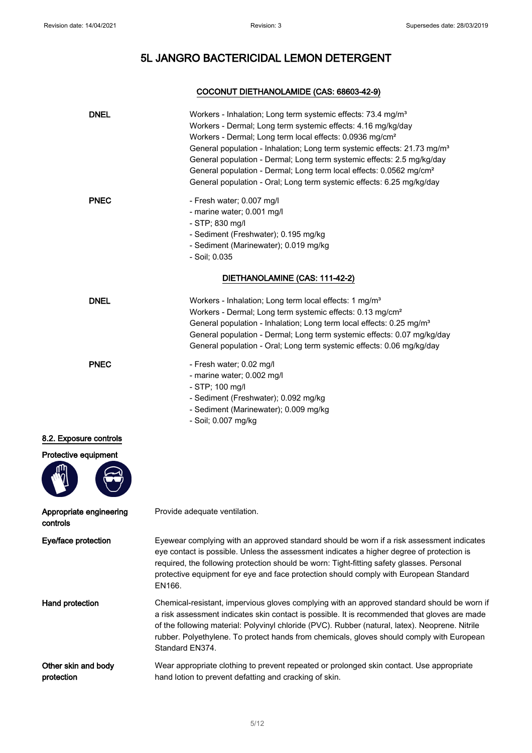### COCONUT DIETHANOLAMIDE (CAS: 68603-42-9)

| <b>DNEL</b>                         | Workers - Inhalation; Long term systemic effects: 73.4 mg/m <sup>3</sup><br>Workers - Dermal; Long term systemic effects: 4.16 mg/kg/day<br>Workers - Dermal; Long term local effects: 0.0936 mg/cm <sup>2</sup><br>General population - Inhalation; Long term systemic effects: 21.73 mg/m <sup>3</sup><br>General population - Dermal; Long term systemic effects: 2.5 mg/kg/day<br>General population - Dermal; Long term local effects: 0.0562 mg/cm <sup>2</sup><br>General population - Oral; Long term systemic effects: 6.25 mg/kg/day |
|-------------------------------------|------------------------------------------------------------------------------------------------------------------------------------------------------------------------------------------------------------------------------------------------------------------------------------------------------------------------------------------------------------------------------------------------------------------------------------------------------------------------------------------------------------------------------------------------|
| <b>PNEC</b>                         | - Fresh water; 0.007 mg/l<br>- marine water; 0.001 mg/l<br>- STP; 830 mg/l<br>- Sediment (Freshwater); 0.195 mg/kg<br>- Sediment (Marinewater); 0.019 mg/kg<br>- Soil; 0.035                                                                                                                                                                                                                                                                                                                                                                   |
|                                     | DIETHANOLAMINE (CAS: 111-42-2)                                                                                                                                                                                                                                                                                                                                                                                                                                                                                                                 |
| <b>DNEL</b>                         | Workers - Inhalation; Long term local effects: 1 mg/m <sup>3</sup><br>Workers - Dermal; Long term systemic effects: 0.13 mg/cm <sup>2</sup><br>General population - Inhalation; Long term local effects: 0.25 mg/m <sup>3</sup><br>General population - Dermal; Long term systemic effects: 0.07 mg/kg/day<br>General population - Oral; Long term systemic effects: 0.06 mg/kg/day                                                                                                                                                            |
| <b>PNEC</b>                         | - Fresh water; 0.02 mg/l<br>- marine water; 0.002 mg/l<br>- STP; 100 mg/l<br>- Sediment (Freshwater); 0.092 mg/kg<br>- Sediment (Marinewater); 0.009 mg/kg<br>- Soil; 0.007 mg/kg                                                                                                                                                                                                                                                                                                                                                              |
| 8.2. Exposure controls              |                                                                                                                                                                                                                                                                                                                                                                                                                                                                                                                                                |
| Protective equipment                |                                                                                                                                                                                                                                                                                                                                                                                                                                                                                                                                                |
| Appropriate engineering<br>controls | Provide adequate ventilation.                                                                                                                                                                                                                                                                                                                                                                                                                                                                                                                  |
| Eye/face protection                 | Eyewear complying with an approved standard should be worn if a risk assessment indicates<br>eye contact is possible. Unless the assessment indicates a higher degree of protection is<br>required, the following protection should be worn: Tight-fitting safety glasses. Personal<br>protective equipment for eye and face protection should comply with European Standard<br>EN166.                                                                                                                                                         |
| Hand protection                     | Chemical-resistant, impervious gloves complying with an approved standard should be worn if<br>a risk assessment indicates skin contact is possible. It is recommended that gloves are made<br>of the following material: Polyvinyl chloride (PVC). Rubber (natural, latex). Neoprene. Nitrile<br>rubber. Polyethylene. To protect hands from chemicals, gloves should comply with European<br>Standard EN374.                                                                                                                                 |
| Other skin and body<br>protection   | Wear appropriate clothing to prevent repeated or prolonged skin contact. Use appropriate<br>hand lotion to prevent defatting and cracking of skin.                                                                                                                                                                                                                                                                                                                                                                                             |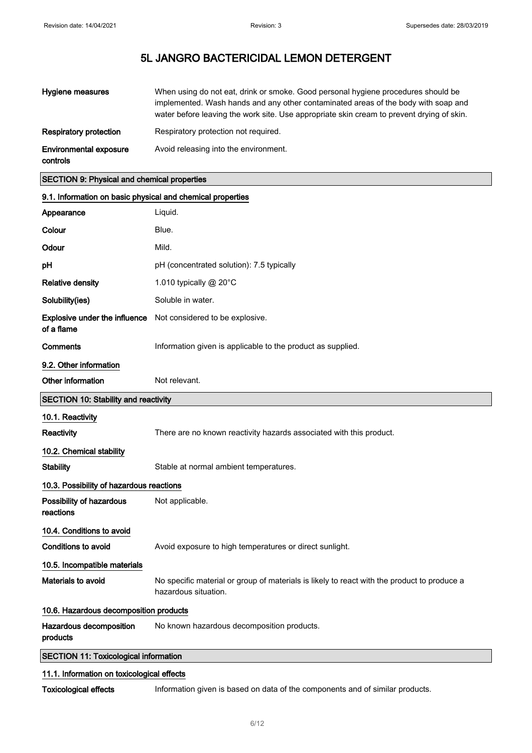| Hygiene measures                          | When using do not eat, drink or smoke. Good personal hygiene procedures should be<br>implemented. Wash hands and any other contaminated areas of the body with soap and<br>water before leaving the work site. Use appropriate skin cream to prevent drying of skin. |
|-------------------------------------------|----------------------------------------------------------------------------------------------------------------------------------------------------------------------------------------------------------------------------------------------------------------------|
| Respiratory protection                    | Respiratory protection not required.                                                                                                                                                                                                                                 |
| <b>Environmental exposure</b><br>controls | Avoid releasing into the environment.                                                                                                                                                                                                                                |

### SECTION 9: Physical and chemical properties

| 9.1. Information on basic physical and chemical properties |                                                                                                                     |
|------------------------------------------------------------|---------------------------------------------------------------------------------------------------------------------|
| Appearance                                                 | Liquid.                                                                                                             |
| Colour                                                     | Blue.                                                                                                               |
| Odour                                                      | Mild.                                                                                                               |
| pН                                                         | pH (concentrated solution): 7.5 typically                                                                           |
| <b>Relative density</b>                                    | 1.010 typically @ 20°C                                                                                              |
| Solubility(ies)                                            | Soluble in water.                                                                                                   |
| <b>Explosive under the influence</b><br>of a flame         | Not considered to be explosive.                                                                                     |
| Comments                                                   | Information given is applicable to the product as supplied.                                                         |
| 9.2. Other information                                     |                                                                                                                     |
| Other information                                          | Not relevant.                                                                                                       |
| <b>SECTION 10: Stability and reactivity</b>                |                                                                                                                     |
| 10.1. Reactivity                                           |                                                                                                                     |
| Reactivity                                                 | There are no known reactivity hazards associated with this product.                                                 |
| 10.2. Chemical stability                                   |                                                                                                                     |
| <b>Stability</b>                                           | Stable at normal ambient temperatures.                                                                              |
| 10.3. Possibility of hazardous reactions                   |                                                                                                                     |
| Possibility of hazardous<br>reactions                      | Not applicable.                                                                                                     |
| 10.4. Conditions to avoid                                  |                                                                                                                     |
| Conditions to avoid                                        | Avoid exposure to high temperatures or direct sunlight.                                                             |
| 10.5. Incompatible materials                               |                                                                                                                     |
| <b>Materials to avoid</b>                                  | No specific material or group of materials is likely to react with the product to produce a<br>hazardous situation. |
| 10.6. Hazardous decomposition products                     |                                                                                                                     |
| Hazardous decomposition<br>products                        | No known hazardous decomposition products.                                                                          |
| <b>SECTION 11: Toxicological information</b>               |                                                                                                                     |
| 11.1. Information on toxicological effects                 |                                                                                                                     |

Toxicological effects Information given is based on data of the components and of similar products.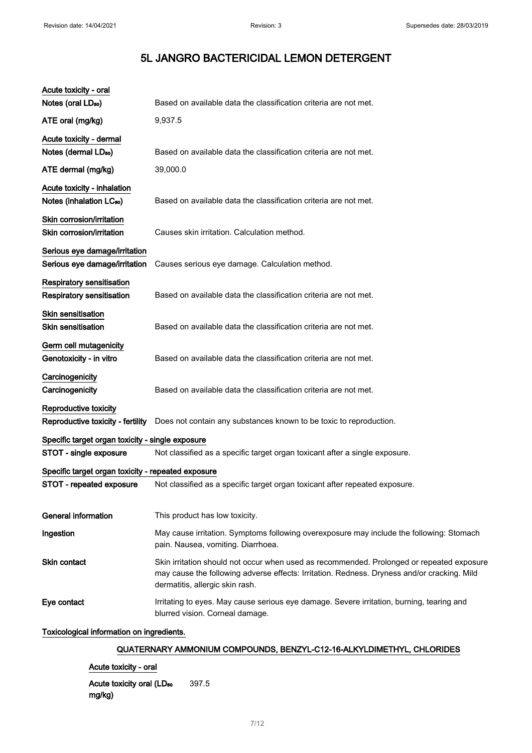| Acute toxicity - oral                                               |                                                                                                                                                                                                                             |
|---------------------------------------------------------------------|-----------------------------------------------------------------------------------------------------------------------------------------------------------------------------------------------------------------------------|
| Notes (oral LD <sub>50</sub> )                                      | Based on available data the classification criteria are not met.                                                                                                                                                            |
| ATE oral (mg/kg)                                                    | 9,937.5                                                                                                                                                                                                                     |
| Acute toxicity - dermal                                             |                                                                                                                                                                                                                             |
| Notes (dermal LD <sub>50</sub> )                                    | Based on available data the classification criteria are not met.                                                                                                                                                            |
| ATE dermal (mg/kg)                                                  | 39,000.0                                                                                                                                                                                                                    |
| Acute toxicity - inhalation<br>Notes (inhalation LC <sub>50</sub> ) | Based on available data the classification criteria are not met.                                                                                                                                                            |
| Skin corrosion/irritation<br>Skin corrosion/irritation              | Causes skin irritation. Calculation method.                                                                                                                                                                                 |
| Serious eye damage/irritation<br>Serious eye damage/irritation      | Causes serious eye damage. Calculation method.                                                                                                                                                                              |
| Respiratory sensitisation<br>Respiratory sensitisation              | Based on available data the classification criteria are not met.                                                                                                                                                            |
| <b>Skin sensitisation</b><br><b>Skin sensitisation</b>              | Based on available data the classification criteria are not met.                                                                                                                                                            |
| Germ cell mutagenicity<br>Genotoxicity - in vitro                   | Based on available data the classification criteria are not met.                                                                                                                                                            |
| Carcinogenicity<br>Carcinogenicity                                  | Based on available data the classification criteria are not met.                                                                                                                                                            |
| Reproductive toxicity<br>Reproductive toxicity - fertility          | Does not contain any substances known to be toxic to reproduction.                                                                                                                                                          |
| Specific target organ toxicity - single exposure                    |                                                                                                                                                                                                                             |
| STOT - single exposure                                              | Not classified as a specific target organ toxicant after a single exposure.                                                                                                                                                 |
| Specific target organ toxicity - repeated exposure                  |                                                                                                                                                                                                                             |
| STOT - repeated exposure                                            | Not classified as a specific target organ toxicant after repeated exposure.                                                                                                                                                 |
| <b>General information</b>                                          | This product has low toxicity.                                                                                                                                                                                              |
| Ingestion                                                           | May cause irritation. Symptoms following overexposure may include the following: Stomach<br>pain. Nausea, vomiting. Diarrhoea.                                                                                              |
| Skin contact                                                        | Skin irritation should not occur when used as recommended. Prolonged or repeated exposure<br>may cause the following adverse effects: Irritation. Redness. Dryness and/or cracking. Mild<br>dermatitis, allergic skin rash. |
| Eye contact                                                         | Irritating to eyes. May cause serious eye damage. Severe irritation, burning, tearing and<br>blurred vision. Corneal damage.                                                                                                |
| Toxicological information on ingredients.                           |                                                                                                                                                                                                                             |
|                                                                     | QUATERNARY AMMONIUM COMPOUNDS, BENZYL-C12-16-ALKYLDIMETHYL, CHLORIDES                                                                                                                                                       |

### Acute toxicity - oral

Acute toxicity oral (LD<sub>50</sub> mg/kg) 397.5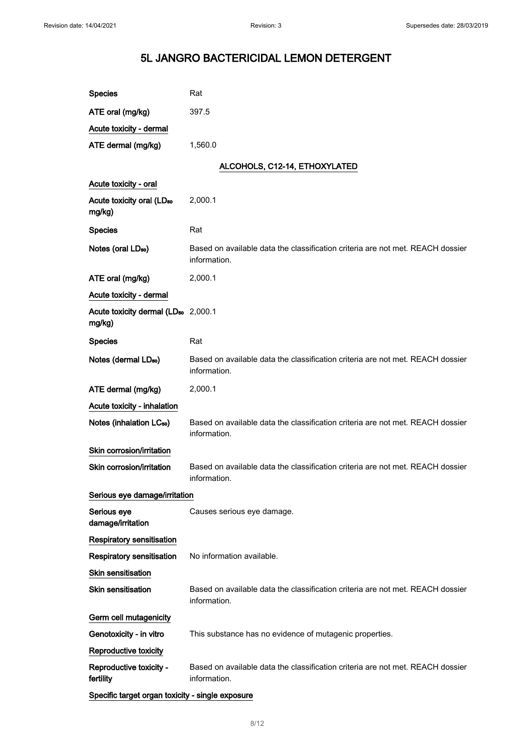| <b>Species</b>                                            | Rat                                                                                            |
|-----------------------------------------------------------|------------------------------------------------------------------------------------------------|
| ATE oral (mg/kg)                                          | 397.5                                                                                          |
| Acute toxicity - dermal                                   |                                                                                                |
| ATE dermal (mg/kg)                                        | 1,560.0                                                                                        |
|                                                           | ALCOHOLS, C12-14, ETHOXYLATED                                                                  |
| Acute toxicity - oral                                     |                                                                                                |
| Acute toxicity oral (LD <sub>50</sub><br>mg/kg)           | 2,000.1                                                                                        |
| <b>Species</b>                                            | Rat                                                                                            |
| Notes (oral LD <sub>50</sub> )                            | Based on available data the classification criteria are not met. REACH dossier<br>information. |
| ATE oral (mg/kg)                                          | 2,000.1                                                                                        |
| Acute toxicity - dermal                                   |                                                                                                |
| Acute toxicity dermal (LD <sub>50</sub> 2,000.1<br>mg/kg) |                                                                                                |
| <b>Species</b>                                            | Rat                                                                                            |
| Notes (dermal LD <sub>50</sub> )                          | Based on available data the classification criteria are not met. REACH dossier<br>information. |
| ATE dermal (mg/kg)                                        | 2,000.1                                                                                        |
| Acute toxicity - inhalation                               |                                                                                                |
| Notes (inhalation LC <sub>50</sub> )                      | Based on available data the classification criteria are not met. REACH dossier<br>information. |
| Skin corrosion/irritation                                 |                                                                                                |
| Skin corrosion/irritation                                 | Based on available data the classification criteria are not met. REACH dossier<br>information. |
| Serious eye damage/irritation                             |                                                                                                |
| Serious eye<br>damage/irritation                          | Causes serious eye damage.                                                                     |
| Respiratory sensitisation                                 |                                                                                                |
| <b>Respiratory sensitisation</b>                          | No information available.                                                                      |
| <b>Skin sensitisation</b>                                 |                                                                                                |
| <b>Skin sensitisation</b>                                 | Based on available data the classification criteria are not met. REACH dossier<br>information. |
| Germ cell mutagenicity                                    |                                                                                                |
| Genotoxicity - in vitro                                   | This substance has no evidence of mutagenic properties.                                        |
| Reproductive toxicity                                     |                                                                                                |
| Reproductive toxicity -<br>fertility                      | Based on available data the classification criteria are not met. REACH dossier<br>information. |
| Specific target organ toxicity - single exposure          |                                                                                                |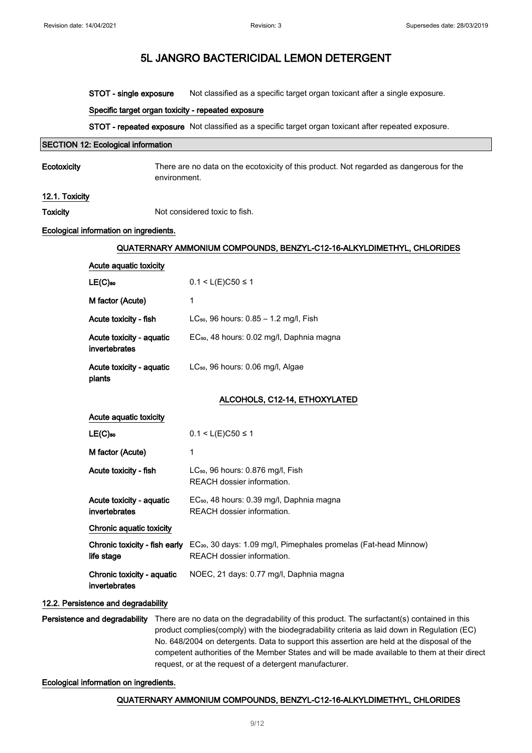STOT - single exposure Not classified as a specific target organ toxicant after a single exposure.

#### Specific target organ toxicity - repeated exposure

STOT - repeated exposure Not classified as a specific target organ toxicant after repeated exposure.

#### SECTION 12: Ecological information

Ecotoxicity There are no data on the ecotoxicity of this product. Not regarded as dangerous for the environment.

#### 12.1. Toxicity

Toxicity Not considered toxic to fish.

#### Ecological information on ingredients.

#### QUATERNARY AMMONIUM COMPOUNDS, BENZYL-C12-16-ALKYLDIMETHYL, CHLORIDES

| Acute aquatic toxicity                      |                                                                                                                                          |
|---------------------------------------------|------------------------------------------------------------------------------------------------------------------------------------------|
| $LE(C)$ 50                                  | $0.1 < L(E)C50 \le 1$                                                                                                                    |
| M factor (Acute)                            | 1                                                                                                                                        |
| Acute toxicity - fish                       | LC <sub>50</sub> , 96 hours: $0.85 - 1.2$ mg/l, Fish                                                                                     |
| Acute toxicity - aquatic<br>invertebrates   | EC <sub>50</sub> , 48 hours: 0.02 mg/l, Daphnia magna                                                                                    |
| Acute toxicity - aquatic<br>plants          | LC <sub>50</sub> , 96 hours: 0.06 mg/l, Algae                                                                                            |
|                                             | ALCOHOLS, C12-14, ETHOXYLATED                                                                                                            |
| Acute aquatic toxicity                      |                                                                                                                                          |
| $LE(C)$ 50                                  | $0.1 < L(E)C50 \le 1$                                                                                                                    |
| M factor (Acute)                            | 1                                                                                                                                        |
| Acute toxicity - fish                       | LC <sub>50</sub> , 96 hours: 0.876 mg/l, Fish<br>REACH dossier information.                                                              |
| Acute toxicity - aquatic<br>invertebrates   | EC <sub>50</sub> , 48 hours: 0.39 mg/l, Daphnia magna<br>REACH dossier information.                                                      |
| Chronic aquatic toxicity                    |                                                                                                                                          |
| life stage                                  | <b>Chronic toxicity - fish early</b> $EC_{20}$ , 30 days: 1.09 mg/l, Pimephales promelas (Fat-head Minnow)<br>REACH dossier information. |
| Chronic toxicity - aquatic<br>invertebrates | NOEC, 21 days: 0.77 mg/l, Daphnia magna                                                                                                  |

#### 12.2. Persistence and degradability

Persistence and degradability There are no data on the degradability of this product. The surfactant(s) contained in this product complies(comply) with the biodegradability criteria as laid down in Regulation (EC) No. 648/2004 on detergents. Data to support this assertion are held at the disposal of the competent authorities of the Member States and will be made available to them at their direct request, or at the request of a detergent manufacturer.

#### Ecological information on ingredients.

#### QUATERNARY AMMONIUM COMPOUNDS, BENZYL-C12-16-ALKYLDIMETHYL, CHLORIDES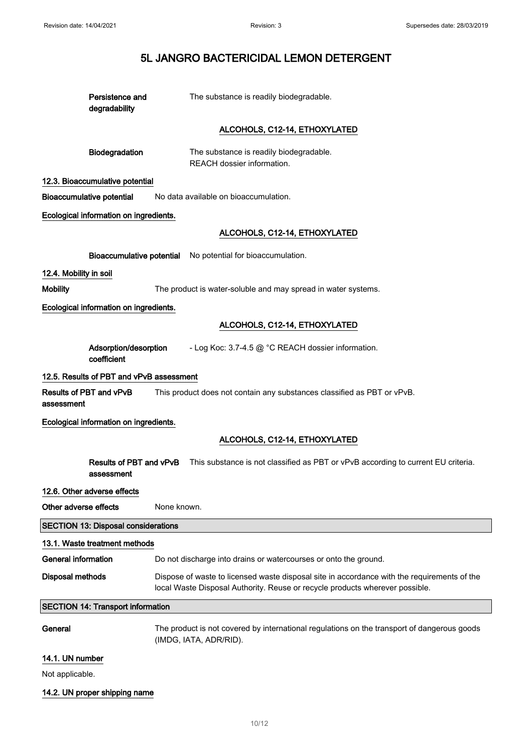| Persistence and<br>degradability           | The substance is readily biodegradable.                                                                                                                                     |
|--------------------------------------------|-----------------------------------------------------------------------------------------------------------------------------------------------------------------------------|
|                                            | ALCOHOLS, C12-14, ETHOXYLATED                                                                                                                                               |
| Biodegradation                             | The substance is readily biodegradable.<br>REACH dossier information.                                                                                                       |
| 12.3. Bioaccumulative potential            |                                                                                                                                                                             |
| <b>Bioaccumulative potential</b>           | No data available on bioaccumulation.                                                                                                                                       |
| Ecological information on ingredients.     |                                                                                                                                                                             |
|                                            | ALCOHOLS, C12-14, ETHOXYLATED                                                                                                                                               |
|                                            | Bioaccumulative potential No potential for bioaccumulation.                                                                                                                 |
| 12.4. Mobility in soil                     |                                                                                                                                                                             |
| <b>Mobility</b>                            | The product is water-soluble and may spread in water systems.                                                                                                               |
| Ecological information on ingredients.     |                                                                                                                                                                             |
|                                            | ALCOHOLS, C12-14, ETHOXYLATED                                                                                                                                               |
| Adsorption/desorption<br>coefficient       | - Log Koc: 3.7-4.5 @ °C REACH dossier information.                                                                                                                          |
| 12.5. Results of PBT and vPvB assessment   |                                                                                                                                                                             |
| Results of PBT and vPvB<br>assessment      | This product does not contain any substances classified as PBT or vPvB.                                                                                                     |
| Ecological information on ingredients.     |                                                                                                                                                                             |
|                                            | ALCOHOLS, C12-14, ETHOXYLATED                                                                                                                                               |
| Results of PBT and vPvB<br>assessment      | This substance is not classified as PBT or vPvB according to current EU criteria.                                                                                           |
| 12.6. Other adverse effects                |                                                                                                                                                                             |
| Other adverse effects                      | None known.                                                                                                                                                                 |
| <b>SECTION 13: Disposal considerations</b> |                                                                                                                                                                             |
| 13.1. Waste treatment methods              |                                                                                                                                                                             |
| <b>General information</b>                 | Do not discharge into drains or watercourses or onto the ground.                                                                                                            |
| <b>Disposal methods</b>                    | Dispose of waste to licensed waste disposal site in accordance with the requirements of the<br>local Waste Disposal Authority. Reuse or recycle products wherever possible. |
| <b>SECTION 14: Transport information</b>   |                                                                                                                                                                             |
| General                                    | The product is not covered by international regulations on the transport of dangerous goods<br>(IMDG, IATA, ADR/RID).                                                       |
| 14.1. UN number                            |                                                                                                                                                                             |

Not applicable.

14.2. UN proper shipping name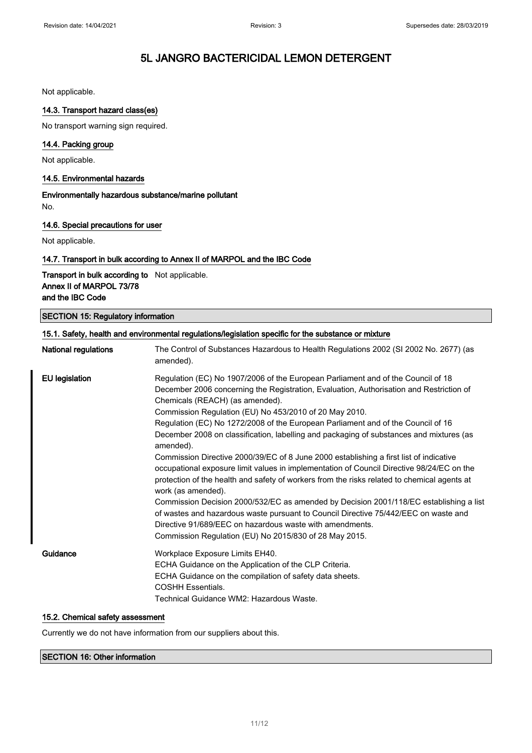Not applicable.

#### 14.3. Transport hazard class(es)

No transport warning sign required.

### 14.4. Packing group

Not applicable.

#### 14.5. Environmental hazards

Environmentally hazardous substance/marine pollutant No.

#### 14.6. Special precautions for user

Not applicable.

#### 14.7. Transport in bulk according to Annex II of MARPOL and the IBC Code

Transport in bulk according to Not applicable. Annex II of MARPOL 73/78 and the IBC Code

#### SECTION 15: Regulatory information

| <b>National regulations</b> | The Control of Substances Hazardous to Health Regulations 2002 (SI 2002 No. 2677) (as<br>amended).                                                                                                                                                                                                                                                                                                                                                                                                                                                                                                                                                                                                                                                                                                                                                                                                                                                                                                                            |
|-----------------------------|-------------------------------------------------------------------------------------------------------------------------------------------------------------------------------------------------------------------------------------------------------------------------------------------------------------------------------------------------------------------------------------------------------------------------------------------------------------------------------------------------------------------------------------------------------------------------------------------------------------------------------------------------------------------------------------------------------------------------------------------------------------------------------------------------------------------------------------------------------------------------------------------------------------------------------------------------------------------------------------------------------------------------------|
| <b>EU</b> legislation       | Regulation (EC) No 1907/2006 of the European Parliament and of the Council of 18<br>December 2006 concerning the Registration, Evaluation, Authorisation and Restriction of<br>Chemicals (REACH) (as amended).<br>Commission Regulation (EU) No 453/2010 of 20 May 2010.<br>Regulation (EC) No 1272/2008 of the European Parliament and of the Council of 16<br>December 2008 on classification, labelling and packaging of substances and mixtures (as<br>amended).<br>Commission Directive 2000/39/EC of 8 June 2000 establishing a first list of indicative<br>occupational exposure limit values in implementation of Council Directive 98/24/EC on the<br>protection of the health and safety of workers from the risks related to chemical agents at<br>work (as amended).<br>Commission Decision 2000/532/EC as amended by Decision 2001/118/EC establishing a list<br>of wastes and hazardous waste pursuant to Council Directive 75/442/EEC on waste and<br>Directive 91/689/EEC on hazardous waste with amendments. |
|                             | Commission Regulation (EU) No 2015/830 of 28 May 2015.                                                                                                                                                                                                                                                                                                                                                                                                                                                                                                                                                                                                                                                                                                                                                                                                                                                                                                                                                                        |
| Guidance                    | Workplace Exposure Limits EH40.<br>ECHA Guidance on the Application of the CLP Criteria.<br>ECHA Guidance on the compilation of safety data sheets.<br><b>COSHH Essentials.</b><br>Technical Guidance WM2: Hazardous Waste.                                                                                                                                                                                                                                                                                                                                                                                                                                                                                                                                                                                                                                                                                                                                                                                                   |

#### 15.2. Chemical safety assessment

Currently we do not have information from our suppliers about this.

#### SECTION 16: Other information